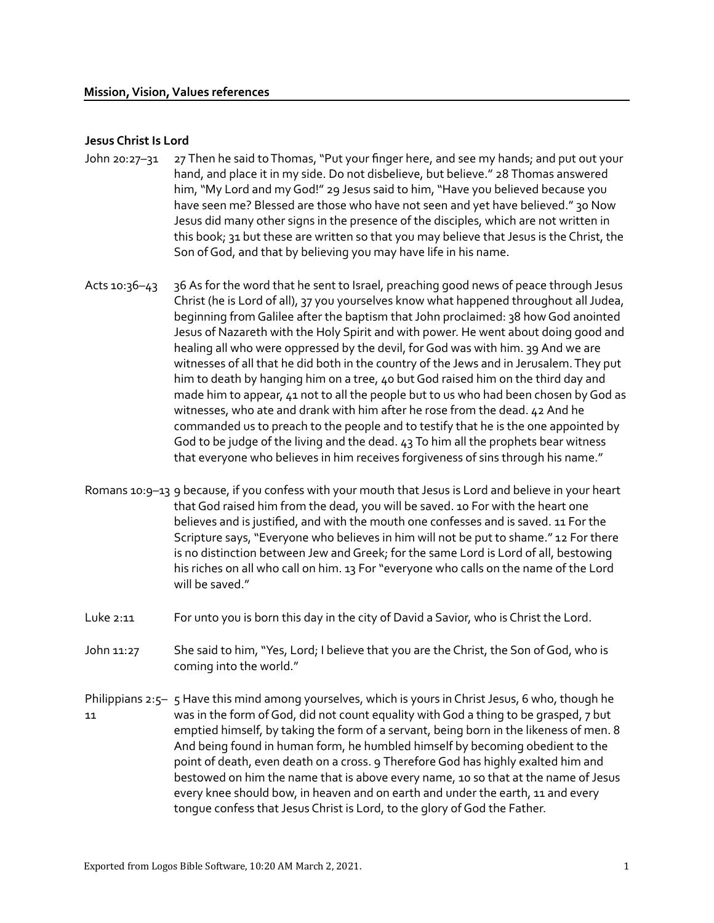### Jesus Christ Is Lord

- John 20:27–31 27 Then he said to Thomas, "Put your finger here, and see my hands; and put out your hand, and place it in my side. Do not disbelieve, but believe." 28 Thomas answered him, "My Lord and my God!" 29 Jesus said to him, "Have you believed because you have seen me? Blessed are those who have not seen and yet have believed." 30 Now Jesus did many other signs in the presence of the disciples, which are not written in this book; 31 but these are written so that you may believe that Jesus is the Christ, the Son of God, and that by believing you may have life in his name.
- Acts 10:36–43 36 As for the word that he sent to Israel, preaching good news of peace through Jesus Christ (he is Lord of all), 37 you yourselves know what happened throughout all Judea, beginning from Galilee after the baptism that John proclaimed: 38 how God anointed Jesus of Nazareth with the Holy Spirit and with power. He went about doing good and healing all who were oppressed by the devil, for God was with him. 39 And we are witnesses of all that he did both in the country of the Jews and in Jerusalem. They put him to death by hanging him on a tree, 40 but God raised him on the third day and made him to appear, 41 not to all the people but to us who had been chosen by God as witnesses, who ate and drank with him after he rose from the dead. 42 And he commanded us to preach to the people and to testify that he is the one appointed by God to be judge of the living and the dead. 43 To him all the prophets bear witness that everyone who believes in him receives forgiveness of sins through his name."
- Romans 10:9–13 9 because, if you confess with your mouth that Jesus is Lord and believe in your heart that God raised him from the dead, you will be saved. 10 For with the heart one believes and is justified, and with the mouth one confesses and is saved. 11 For the Scripture says, "Everyone who believes in him will not be put to shame." 12 For there is no distinction between Jew and Greek; for the same Lord is Lord of all, bestowing his riches on all who call on him. 13 For "everyone who calls on the name of the Lord will be saved."
- Luke 2:11 For unto you is born this day in the city of David a Savior, who is Christ the Lord.
- John 11:27 She said to him, "Yes, Lord; I believe that you are the Christ, the Son of God, who is coming into the world."
- Philippians 2:5– 5 Have this mind among yourselves, which is yours in Christ Jesus, 6 who, though he 11 was in the form of God, did not count equality with God a thing to be grasped, 7 but emptied himself, by taking the form of a servant, being born in the likeness of men. 8 And being found in human form, he humbled himself by becoming obedient to the point of death, even death on a cross. 9 Therefore God has highly exalted him and bestowed on him the name that is above every name, 10 so that at the name of Jesus every knee should bow, in heaven and on earth and under the earth, 11 and every tongue confess that Jesus Christ is Lord, to the glory of God the Father.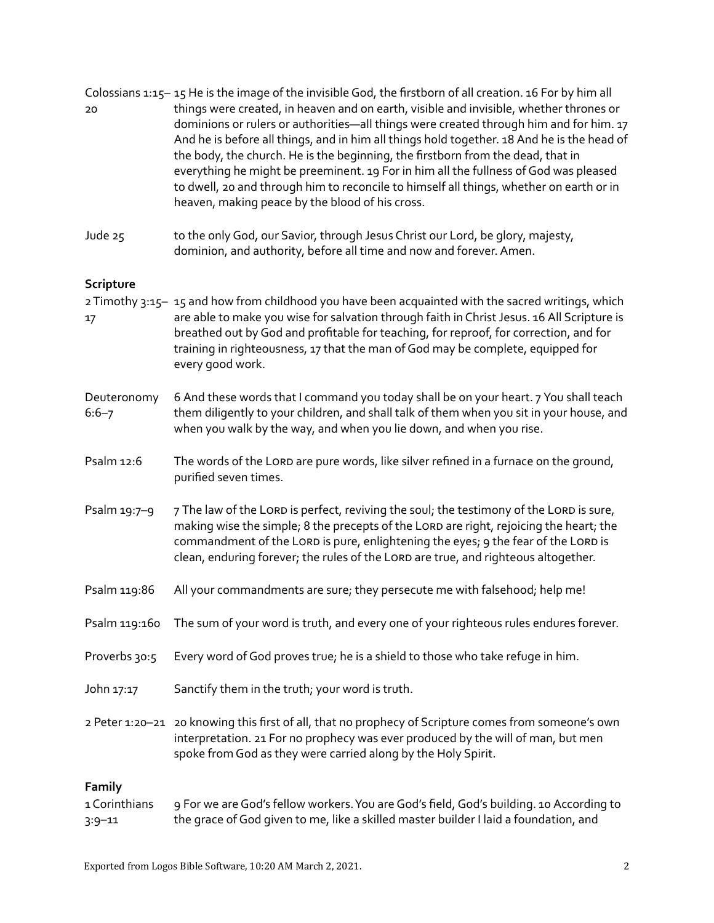| 20                                    | Colossians 1:15-15 He is the image of the invisible God, the firstborn of all creation. 16 For by him all<br>things were created, in heaven and on earth, visible and invisible, whether thrones or<br>dominions or rulers or authorities-all things were created through him and for him. 17<br>And he is before all things, and in him all things hold together. 18 And he is the head of<br>the body, the church. He is the beginning, the firstborn from the dead, that in<br>everything he might be preeminent. 19 For in him all the fullness of God was pleased<br>to dwell, 20 and through him to reconcile to himself all things, whether on earth or in<br>heaven, making peace by the blood of his cross. |
|---------------------------------------|----------------------------------------------------------------------------------------------------------------------------------------------------------------------------------------------------------------------------------------------------------------------------------------------------------------------------------------------------------------------------------------------------------------------------------------------------------------------------------------------------------------------------------------------------------------------------------------------------------------------------------------------------------------------------------------------------------------------|
| Jude 25                               | to the only God, our Savior, through Jesus Christ our Lord, be glory, majesty,<br>dominion, and authority, before all time and now and forever. Amen.                                                                                                                                                                                                                                                                                                                                                                                                                                                                                                                                                                |
| Scripture                             |                                                                                                                                                                                                                                                                                                                                                                                                                                                                                                                                                                                                                                                                                                                      |
| 17                                    | 2 Timothy 3:15-15 and how from childhood you have been acquainted with the sacred writings, which<br>are able to make you wise for salvation through faith in Christ Jesus. 16 All Scripture is<br>breathed out by God and profitable for teaching, for reproof, for correction, and for<br>training in righteousness, 17 that the man of God may be complete, equipped for<br>every good work.                                                                                                                                                                                                                                                                                                                      |
| Deuteronomy<br>$6:6 - 7$              | 6 And these words that I command you today shall be on your heart. 7 You shall teach<br>them diligently to your children, and shall talk of them when you sit in your house, and<br>when you walk by the way, and when you lie down, and when you rise.                                                                                                                                                                                                                                                                                                                                                                                                                                                              |
| Psalm 12:6                            | The words of the LORD are pure words, like silver refined in a furnace on the ground,<br>purified seven times.                                                                                                                                                                                                                                                                                                                                                                                                                                                                                                                                                                                                       |
| Psalm 19:7-9                          | 7 The law of the LORD is perfect, reviving the soul; the testimony of the LORD is sure,<br>making wise the simple; 8 the precepts of the LORD are right, rejoicing the heart; the<br>commandment of the LORD is pure, enlightening the eyes; 9 the fear of the LORD is<br>clean, enduring forever; the rules of the LORD are true, and righteous altogether.                                                                                                                                                                                                                                                                                                                                                         |
| Psalm 119:86                          | All your commandments are sure; they persecute me with falsehood; help me!                                                                                                                                                                                                                                                                                                                                                                                                                                                                                                                                                                                                                                           |
| Psalm 119:160                         | The sum of your word is truth, and every one of your righteous rules endures forever.                                                                                                                                                                                                                                                                                                                                                                                                                                                                                                                                                                                                                                |
| Proverbs 30:5                         | Every word of God proves true; he is a shield to those who take refuge in him.                                                                                                                                                                                                                                                                                                                                                                                                                                                                                                                                                                                                                                       |
| John 17:17                            | Sanctify them in the truth, your word is truth.                                                                                                                                                                                                                                                                                                                                                                                                                                                                                                                                                                                                                                                                      |
|                                       | 2 Peter 1:20-21 20 knowing this first of all, that no prophecy of Scripture comes from someone's own<br>interpretation. 21 For no prophecy was ever produced by the will of man, but men<br>spoke from God as they were carried along by the Holy Spirit.                                                                                                                                                                                                                                                                                                                                                                                                                                                            |
| Family<br>1 Corinthians<br>$3:9 - 11$ | 9 For we are God's fellow workers. You are God's field, God's building. 10 According to<br>the grace of God given to me, like a skilled master builder I laid a foundation, and                                                                                                                                                                                                                                                                                                                                                                                                                                                                                                                                      |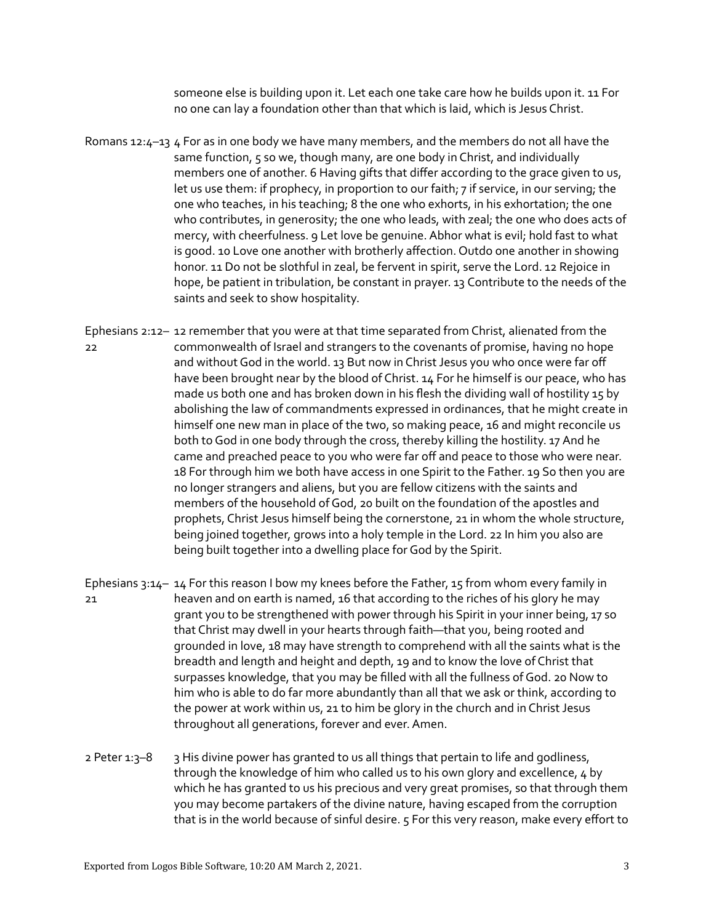someone else is building upon it. Let each one take care how he builds upon it. 11 For no one can lay a foundation other than that which is laid, which is Jesus Christ.

- Romans 12: $4-13$  4 For as in one body we have many members, and the members do not all have the same function, 5 so we, though many, are one body in Christ, and individually members one of another. 6 Having gifts that differ according to the grace given to us, let us use them: if prophecy, in proportion to our faith; 7 if service, in our serving; the one who teaches, in his teaching; 8 the one who exhorts, in his exhortation; the one who contributes, in generosity; the one who leads, with zeal; the one who does acts of mercy, with cheerfulness. 9 Let love be genuine. Abhor what is evil; hold fast to what is good. 10 Love one another with brotherly affection. Outdo one another in showing honor. 11 Do not be slothful in zeal, be fervent in spirit, serve the Lord. 12 Rejoice in hope, be patient in tribulation, be constant in prayer. 13 Contribute to the needs of the saints and seek to show hospitality.
- Ephesians 2:12– 12 remember that you were at that time separated from Christ, alienated from the 22 commonwealth of Israel and strangers to the covenants of promise, having no hope and without God in the world. 13 But now in Christ Jesus you who once were far off have been brought near by the blood of Christ. 14 For he himself is our peace, who has made us both one and has broken down in his flesh the dividing wall of hostility 15 by abolishing the law of commandments expressed in ordinances, that he might create in himself one new man in place of the two, so making peace, 16 and might reconcile us both to God in one body through the cross, thereby killing the hostility. 17 And he came and preached peace to you who were far off and peace to those who were near. 18 For through him we both have access in one Spirit to the Father. 19 So then you are no longer strangers and aliens, but you are fellow citizens with the saints and members of the household of God, 20 built on the foundation of the apostles and prophets, Christ Jesus himself being the cornerstone, 21 in whom the whole structure, being joined together, grows into a holy temple in the Lord. 22 In him you also are being built together into a dwelling place for God by the Spirit.
- Ephesians 3:14– 14 For this reason I bow my knees before the Father, 15 from whom every family in 21 heaven and on earth is named, 16 that according to the riches of his glory he may grant you to be strengthened with power through his Spirit in your inner being, 17 so that Christ may dwell in your hearts through faith—that you, being rooted and grounded in love, 18 may have strength to comprehend with all the saints what is the breadth and length and height and depth, 19 and to know the love of Christ that surpasses knowledge, that you may be filled with all the fullness of God. 20 Now to him who is able to do far more abundantly than all that we ask or think, according to the power at work within us, 21 to him be glory in the church and in Christ Jesus throughout all generations, forever and ever. Amen.
- 2 Peter 1:3-8 3 His divine power has granted to us all things that pertain to life and godliness, through the knowledge of him who called us to his own glory and excellence, 4 by which he has granted to us his precious and very great promises, so that through them you may become partakers of the divine nature, having escaped from the corruption that is in the world because of sinful desire. 5 For this very reason, make every effort to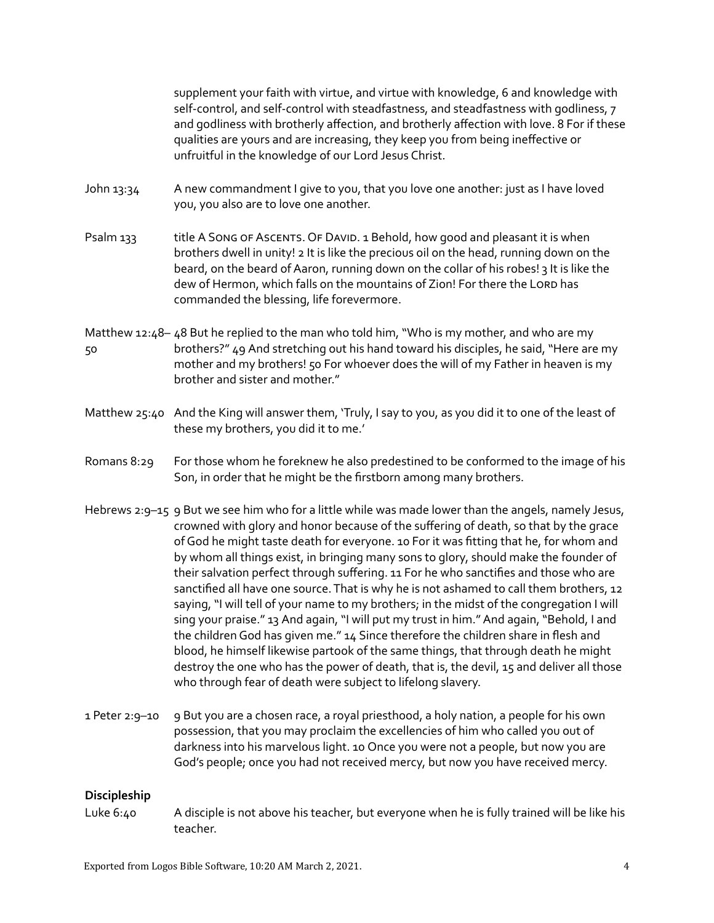supplement your faith with virtue, and virtue with knowledge, 6 and knowledge with self-control, and self-control with steadfastness, and steadfastness with godliness, 7 and godliness with brotherly affection, and brotherly affection with love. 8 For if these qualities are yours and are increasing, they keep you from being ineffective or unfruitful in the knowledge of our Lord Jesus Christ.

- John 13:34 A new commandment I give to you, that you love one another: just as I have loved you, you also are to love one another.
- Psalm 133 title A Song of Ascents. Of David. 1 Behold, how good and pleasant it is when brothers dwell in unity! 2 It is like the precious oil on the head, running down on the beard, on the beard of Aaron, running down on the collar of his robes! 3 It is like the dew of Hermon, which falls on the mountains of Zion! For there the Lord has commanded the blessing, life forevermore.
- Matthew 12:48– 48 But he replied to the man who told him, "Who is my mother, and who are my 50 brothers?" 49 And stretching out his hand toward his disciples, he said, "Here are my mother and my brothers! 50 For whoever does the will of my Father in heaven is my brother and sister and mother."
- Matthew 25:40 And the King will answer them, 'Truly, I say to you, as you did it to one of the least of these my brothers, you did it to me.'
- Romans 8:29 For those whom he foreknew he also predestined to be conformed to the image of his Son, in order that he might be the firstborn among many brothers.
- Hebrews 2:9-15 9 But we see him who for a little while was made lower than the angels, namely Jesus, crowned with glory and honor because of the suffering of death, so that by the grace of God he might taste death for everyone. 10 For it was fitting that he, for whom and by whom all things exist, in bringing many sons to glory, should make the founder of their salvation perfect through suffering. 11 For he who sanctifies and those who are sanctified all have one source. That is why he is not ashamed to call them brothers, 12 saying, "I will tell of your name to my brothers; in the midst of the congregation I will sing your praise." 13 And again, "I will put my trust in him." And again, "Behold, I and the children God has given me." 14 Since therefore the children share in flesh and blood, he himself likewise partook of the same things, that through death he might destroy the one who has the power of death, that is, the devil, 15 and deliver all those who through fear of death were subject to lifelong slavery.
- 1 Peter 2:9–10 9 But you are a chosen race, a royal priesthood, a holy nation, a people for his own possession, that you may proclaim the excellencies of him who called you out of darkness into his marvelous light. 10 Once you were not a people, but now you are God's people; once you had not received mercy, but now you have received mercy.

#### Discipleship

Luke 6:40 A disciple is not above his teacher, but everyone when he is fully trained will be like his teacher.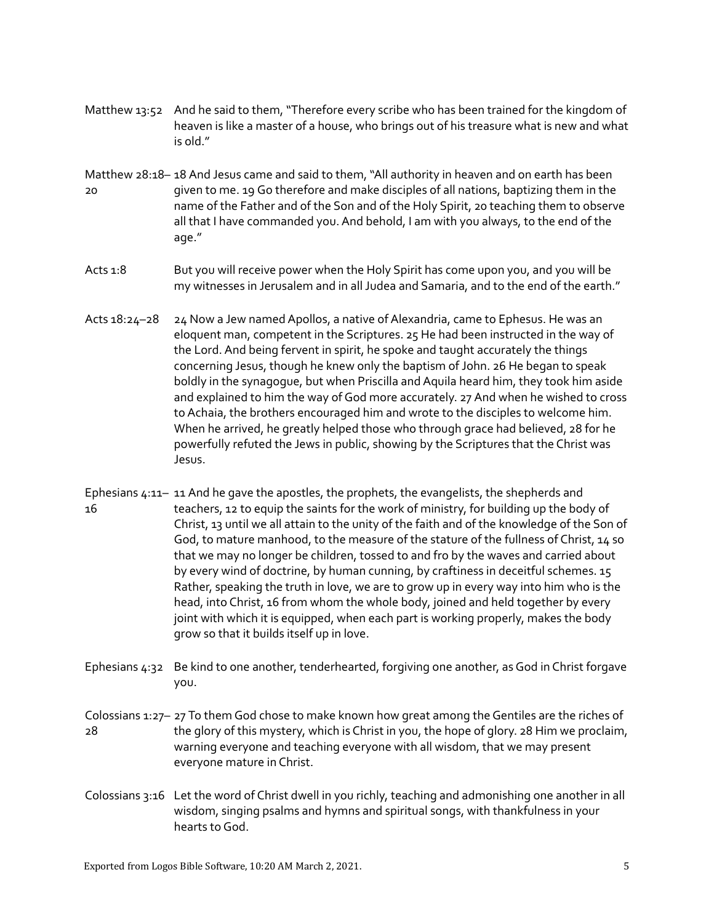- Matthew 13:52 And he said to them, "Therefore every scribe who has been trained for the kingdom of heaven is like a master of a house, who brings out of his treasure what is new and what is old."
- Matthew 28:18– 18 And Jesus came and said to them, "All authority in heaven and on earth has been 20 given to me. 19 Go therefore and make disciples of all nations, baptizing them in the name of the Father and of the Son and of the Holy Spirit, 20 teaching them to observe all that I have commanded you. And behold, I am with you always, to the end of the age."
- Acts 1:8 But you will receive power when the Holy Spirit has come upon you, and you will be my witnesses in Jerusalem and in all Judea and Samaria, and to the end of the earth."
- Acts 18:24–28 24 Now a Jew named Apollos, a native of Alexandria, came to Ephesus. He was an eloquent man, competent in the Scriptures. 25 He had been instructed in the way of the Lord. And being fervent in spirit, he spoke and taught accurately the things concerning Jesus, though he knew only the baptism of John. 26 He began to speak boldly in the synagogue, but when Priscilla and Aquila heard him, they took him aside and explained to him the way of God more accurately. 27 And when he wished to cross to Achaia, the brothers encouraged him and wrote to the disciples to welcome him. When he arrived, he greatly helped those who through grace had believed, 28 for he powerfully refuted the Jews in public, showing by the Scriptures that the Christ was Jesus.
- Ephesians 4:11– 11 And he gave the apostles, the prophets, the evangelists, the shepherds and 16 teachers, 12 to equip the saints for the work of ministry, for building up the body of Christ, 13 until we all attain to the unity of the faith and of the knowledge of the Son of God, to mature manhood, to the measure of the stature of the fullness of Christ, 14 so that we may no longer be children, tossed to and fro by the waves and carried about by every wind of doctrine, by human cunning, by craftiness in deceitful schemes. 15 Rather, speaking the truth in love, we are to grow up in every way into him who is the head, into Christ, 16 from whom the whole body, joined and held together by every joint with which it is equipped, when each part is working properly, makes the body grow so that it builds itself up in love.
- Ephesians 4:32 Be kind to one another, tenderhearted, forgiving one another, as God in Christ forgave you.
- Colossians 1:27– 27 To them God chose to make known how great among the Gentiles are the riches of 28 the glory of this mystery, which is Christ in you, the hope of glory. 28 Him we proclaim, warning everyone and teaching everyone with all wisdom, that we may present everyone mature in Christ.
- Colossians 3:16 Let the word of Christ dwell in you richly, teaching and admonishing one another in all wisdom, singing psalms and hymns and spiritual songs, with thankfulness in your hearts to God.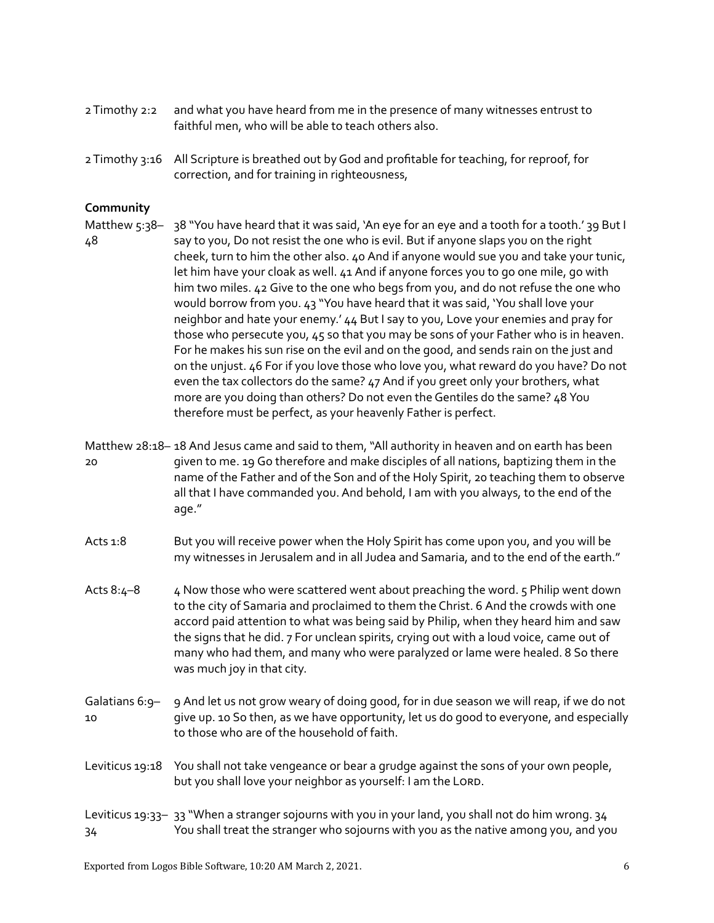- 2 Timothy 2:2 and what you have heard from me in the presence of many witnesses entrust to faithful men, who will be able to teach others also.
- 2 Timothy 3:16 All Scripture is breathed out by God and profitable for teaching, for reproof, for correction, and for training in righteousness,

## Community

- Matthew 5:38– 38 "You have heard that it was said, 'An eye for an eye and a tooth for a tooth.' 39 But I 48 say to you, Do not resist the one who is evil. But if anyone slaps you on the right cheek, turn to him the other also. 40 And if anyone would sue you and take your tunic, let him have your cloak as well. 41 And if anyone forces you to go one mile, go with him two miles. 42 Give to the one who begs from you, and do not refuse the one who would borrow from you. 43 "You have heard that it was said, 'You shall love your neighbor and hate your enemy.' 44 But I say to you, Love your enemies and pray for those who persecute you, 45 so that you may be sons of your Father who is in heaven. For he makes his sun rise on the evil and on the good, and sends rain on the just and on the unjust. 46 For if you love those who love you, what reward do you have? Do not even the tax collectors do the same? 47 And if you greet only your brothers, what more are you doing than others? Do not even the Gentiles do the same? 48 You therefore must be perfect, as your heavenly Father is perfect.
- Matthew 28:18– 18 And Jesus came and said to them, "All authority in heaven and on earth has been 20 given to me. 19 Go therefore and make disciples of all nations, baptizing them in the name of the Father and of the Son and of the Holy Spirit, 20 teaching them to observe all that I have commanded you. And behold, I am with you always, to the end of the age."
- Acts 1:8 But you will receive power when the Holy Spirit has come upon you, and you will be my witnesses in Jerusalem and in all Judea and Samaria, and to the end of the earth."
- Acts 8: $4-8$  4 Now those who were scattered went about preaching the word. 5 Philip went down to the city of Samaria and proclaimed to them the Christ. 6 And the crowds with one accord paid attention to what was being said by Philip, when they heard him and saw the signs that he did. 7 For unclean spirits, crying out with a loud voice, came out of many who had them, and many who were paralyzed or lame were healed. 8 So there was much joy in that city.
- Galatians 6:9– 10 9 And let us not grow weary of doing good, for in due season we will reap, if we do not give up. 10 So then, as we have opportunity, let us do good to everyone, and especially to those who are of the household of faith.
- Leviticus 19:18 You shall not take vengeance or bear a grudge against the sons of your own people, but you shall love your neighbor as yourself: I am the LORD.

#### Leviticus 19:33– 33 "When a stranger sojourns with you in your land, you shall not do him wrong. 34 34 You shall treat the stranger who sojourns with you as the native among you, and you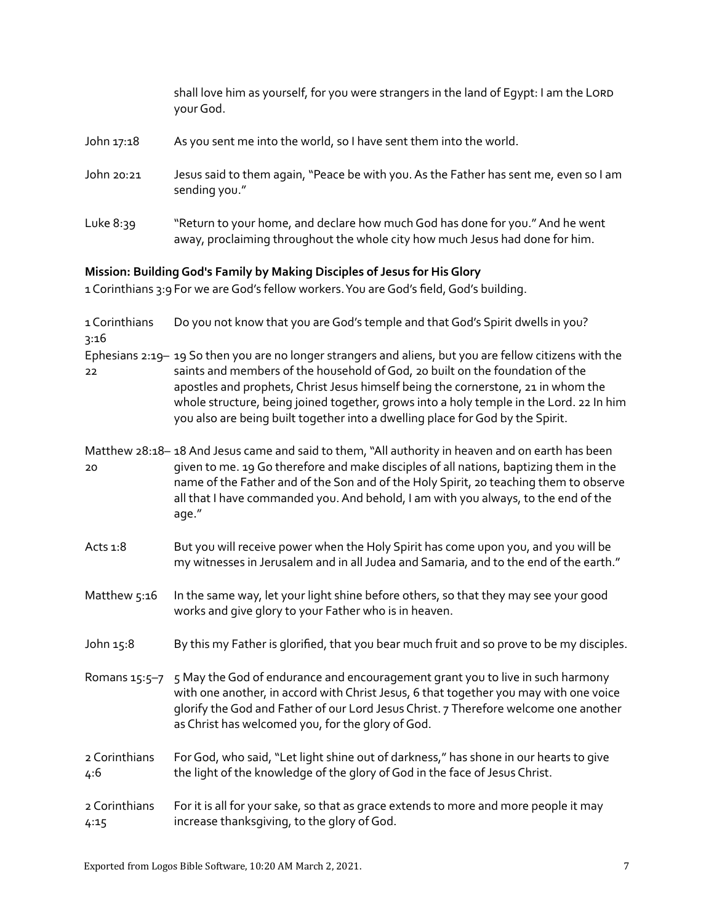|                                                                          | shall love him as yourself, for you were strangers in the land of Egypt: I am the LORD<br>your God.                                                           |  |
|--------------------------------------------------------------------------|---------------------------------------------------------------------------------------------------------------------------------------------------------------|--|
| John 17:18                                                               | As you sent me into the world, so I have sent them into the world.                                                                                            |  |
| John 20:21                                                               | Jesus said to them again, "Peace be with you. As the Father has sent me, even so I am<br>sending you."                                                        |  |
| Luke $8:39$                                                              | "Return to your home, and declare how much God has done for you." And he went<br>away, proclaiming throughout the whole city how much Jesus had done for him. |  |
| 1945년 - 대한민국의 대한민국의 대한민국의 대한민국의 대학교 대학교 대학교 대학교 대학교 전문 기대 대학교 전문 시간이 있다. |                                                                                                                                                               |  |

# Mission: Building God's Family by Making Disciples of Jesus for His Glory

1 Corinthians 3:9 For we are God's fellow workers. You are God's field, God's building.

| 1 Corinthians<br>3:16 | Do you not know that you are God's temple and that God's Spirit dwells in you?                                                                                                                                                                                                                                                                                                                                                                            |
|-----------------------|-----------------------------------------------------------------------------------------------------------------------------------------------------------------------------------------------------------------------------------------------------------------------------------------------------------------------------------------------------------------------------------------------------------------------------------------------------------|
| 22                    | Ephesians 2:19-19 So then you are no longer strangers and aliens, but you are fellow citizens with the<br>saints and members of the household of God, 20 built on the foundation of the<br>apostles and prophets, Christ Jesus himself being the cornerstone, 21 in whom the<br>whole structure, being joined together, grows into a holy temple in the Lord. 22 In him<br>you also are being built together into a dwelling place for God by the Spirit. |
| 20                    | Matthew 28:18-18 And Jesus came and said to them, "All authority in heaven and on earth has been<br>given to me. 19 Go therefore and make disciples of all nations, baptizing them in the<br>name of the Father and of the Son and of the Holy Spirit, 20 teaching them to observe<br>all that I have commanded you. And behold, I am with you always, to the end of the<br>age."                                                                         |
| Acts 1:8              | But you will receive power when the Holy Spirit has come upon you, and you will be<br>my witnesses in Jerusalem and in all Judea and Samaria, and to the end of the earth."                                                                                                                                                                                                                                                                               |
| Matthew 5:16          | In the same way, let your light shine before others, so that they may see your good<br>works and give glory to your Father who is in heaven.                                                                                                                                                                                                                                                                                                              |
| John 15:8             | By this my Father is glorified, that you bear much fruit and so prove to be my disciples.                                                                                                                                                                                                                                                                                                                                                                 |
| Romans 15:5-7         | 5 May the God of endurance and encouragement grant you to live in such harmony<br>with one another, in accord with Christ Jesus, 6 that together you may with one voice<br>glorify the God and Father of our Lord Jesus Christ. 7 Therefore welcome one another<br>as Christ has welcomed you, for the glory of God.                                                                                                                                      |
| 2 Corinthians<br>4:6  | For God, who said, "Let light shine out of darkness," has shone in our hearts to give<br>the light of the knowledge of the glory of God in the face of Jesus Christ.                                                                                                                                                                                                                                                                                      |
| 2 Corinthians<br>4:15 | For it is all for your sake, so that as grace extends to more and more people it may<br>increase thanksgiving, to the glory of God.                                                                                                                                                                                                                                                                                                                       |